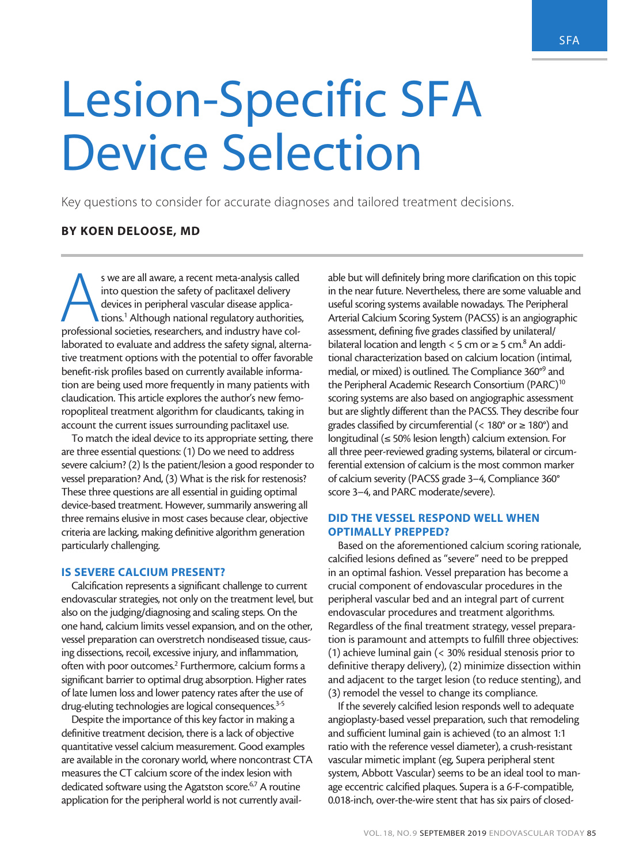# Lesion-Specific SFA Device Selection

Key questions to consider for accurate diagnoses and tailored treatment decisions.

# BY KOEN DELOOSE, MD

s we are all aware, a recent meta-analysis called<br>
into question the safety of paclitaxel delivery<br>
devices in peripheral vascular disease applica-<br>
tions.<sup>1</sup> Although national regulatory authorities<br>
professional societie into question the safety of paclitaxel delivery devices in peripheral vascular disease applications.1 Although national regulatory authorities, laborated to evaluate and address the safety signal, alternative treatment options with the potential to offer favorable benefit-risk profiles based on currently available information are being used more frequently in many patients with claudication. This article explores the author's new femoropopliteal treatment algorithm for claudicants, taking in account the current issues surrounding paclitaxel use.

To match the ideal device to its appropriate setting, there are three essential questions: (1) Do we need to address severe calcium? (2) Is the patient/lesion a good responder to vessel preparation? And, (3) What is the risk for restenosis? These three questions are all essential in guiding optimal device-based treatment. However, summarily answering all three remains elusive in most cases because clear, objective criteria are lacking, making definitive algorithm generation particularly challenging.

## IS SEVERE CALCIUM PRESENT?

Calcification represents a significant challenge to current endovascular strategies, not only on the treatment level, but also on the judging/diagnosing and scaling steps. On the one hand, calcium limits vessel expansion, and on the other, vessel preparation can overstretch nondiseased tissue, causing dissections, recoil, excessive injury, and inflammation, often with poor outcomes.<sup>2</sup> Furthermore, calcium forms a significant barrier to optimal drug absorption. Higher rates of late lumen loss and lower patency rates after the use of drug-eluting technologies are logical consequences.<sup>3-5</sup>

Despite the importance of this key factor in making a definitive treatment decision, there is a lack of objective quantitative vessel calcium measurement. Good examples are available in the coronary world, where noncontrast CTA measures the CT calcium score of the index lesion with dedicated software using the Agatston score.<sup>6,7</sup> A routine application for the peripheral world is not currently available but will definitely bring more clarification on this topic in the near future. Nevertheless, there are some valuable and useful scoring systems available nowadays. The Peripheral Arterial Calcium Scoring System (PACSS) is an angiographic assessment, defining five grades classified by unilateral/ bilateral location and length < 5 cm or  $\geq$  5 cm.<sup>8</sup> An additional characterization based on calcium location (intimal, medial, or mixed) is outlined. The Compliance 360°9 and the Peripheral Academic Research Consortium (PARC)<sup>10</sup> scoring systems are also based on angiographic assessment but are slightly different than the PACSS. They describe four grades classified by circumferential (<  $180^\circ$  or  $\geq 180^\circ$ ) and longitudinal (≤ 50% lesion length) calcium extension. For all three peer-reviewed grading systems, bilateral or circumferential extension of calcium is the most common marker of calcium severity (PACSS grade 3–4, Compliance 360° score 3–4, and PARC moderate/severe).

## DID THE VESSEL RESPOND WELL WHEN OPTIMALLY PREPPED?

Based on the aforementioned calcium scoring rationale, calcified lesions defined as "severe" need to be prepped in an optimal fashion. Vessel preparation has become a crucial component of endovascular procedures in the peripheral vascular bed and an integral part of current endovascular procedures and treatment algorithms. Regardless of the final treatment strategy, vessel preparation is paramount and attempts to fulfill three objectives: (1) achieve luminal gain (< 30% residual stenosis prior to definitive therapy delivery), (2) minimize dissection within and adjacent to the target lesion (to reduce stenting), and (3) remodel the vessel to change its compliance.

If the severely calcified lesion responds well to adequate angioplasty-based vessel preparation, such that remodeling and sufficient luminal gain is achieved (to an almost 1:1 ratio with the reference vessel diameter), a crush-resistant vascular mimetic implant (eg, Supera peripheral stent system, Abbott Vascular) seems to be an ideal tool to manage eccentric calcified plaques. Supera is a 6-F-compatible, 0.018-inch, over-the-wire stent that has six pairs of closed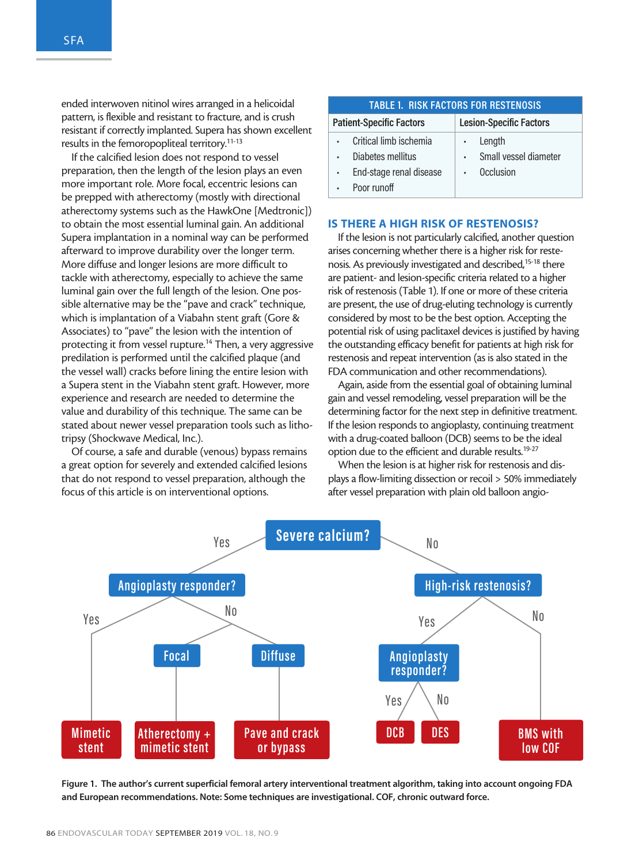ended interwoven nitinol wires arranged in a helicoidal pattern, is flexible and resistant to fracture, and is crush resistant if correctly implanted. Supera has shown excellent results in the femoropopliteal territory.11-13

If the calcified lesion does not respond to vessel preparation, then the length of the lesion plays an even more important role. More focal, eccentric lesions can be prepped with atherectomy (mostly with directional atherectomy systems such as the HawkOne [Medtronic]) to obtain the most essential luminal gain. An additional Supera implantation in a nominal way can be performed afterward to improve durability over the longer term. More diffuse and longer lesions are more difficult to tackle with atherectomy, especially to achieve the same luminal gain over the full length of the lesion. One possible alternative may be the "pave and crack" technique, which is implantation of a Viabahn stent graft (Gore & Associates) to "pave" the lesion with the intention of protecting it from vessel rupture.<sup>14</sup> Then, a very aggressive predilation is performed until the calcified plaque (and the vessel wall) cracks before lining the entire lesion with a Supera stent in the Viabahn stent graft. However, more experience and research are needed to determine the value and durability of this technique. The same can be stated about newer vessel preparation tools such as lithotripsy (Shockwave Medical, Inc.).

Of course, a safe and durable (venous) bypass remains a great option for severely and extended calcified lesions that do not respond to vessel preparation, although the focus of this article is on interventional options.

#### **TABLE 1. RISK FACTORS FOR RESTENOSIS Patient-Specific Factors Lesion-Specific Factors** Critical limb ischemia • Diabetes mellitus • End-stage renal disease Poor runoff **Length** Small vessel diameter • Occlusion

### IS THERE A HIGH RISK OF RESTENOSIS?

If the lesion is not particularly calcified, another question arises concerning whether there is a higher risk for restenosis. As previously investigated and described,<sup>15-18</sup> there are patient- and lesion-specific criteria related to a higher risk of restenosis (Table 1). If one or more of these criteria are present, the use of drug-eluting technology is currently considered by most to be the best option. Accepting the potential risk of using paclitaxel devices is justified by having the outstanding efficacy benefit for patients at high risk for restenosis and repeat intervention (as is also stated in the FDA communication and other recommendations).

Again, aside from the essential goal of obtaining luminal gain and vessel remodeling, vessel preparation will be the determining factor for the next step in definitive treatment. If the lesion responds to angioplasty, continuing treatment with a drug-coated balloon (DCB) seems to be the ideal option due to the efficient and durable results.19-27

When the lesion is at higher risk for restenosis and displays a flow-limiting dissection or recoil > 50% immediately after vessel preparation with plain old balloon angio-



Figure 1. The author's current superficial femoral artery interventional treatment algorithm, taking into account ongoing FDA and European recommendations. Note: Some techniques are investigational. COF, chronic outward force.